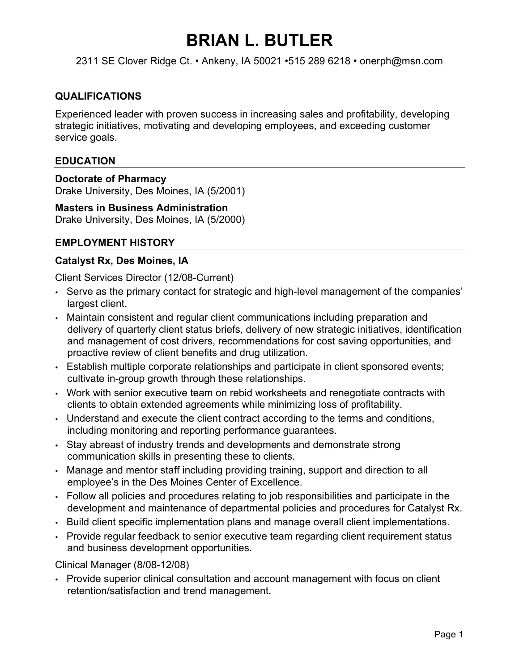## **BRIAN L. BUTLER**

2311 SE Clover Ridge Ct. • Ankeny, IA 50021 •515 289 6218 • onerph@msn.com

#### **QUALIFICATIONS**

Experienced leader with proven success in increasing sales and profitability, developing strategic initiatives, motivating and developing employees, and exceeding customer service goals.

#### **EDUCATION**

**Doctorate of Pharmacy** Drake University, Des Moines, IA (5/2001)

#### **Masters in Business Administration**

Drake University, Des Moines, IA (5/2000)

### **EMPLOYMENT HISTORY**

#### **Catalyst Rx, Des Moines, IA**

Client Services Director (12/08-Current)

- Serve as the primary contact for strategic and high-level management of the companies' largest client.
- Maintain consistent and regular client communications including preparation and delivery of quarterly client status briefs, delivery of new strategic initiatives, identification and management of cost drivers, recommendations for cost saving opportunities, and proactive review of client benefits and drug utilization.
- Establish multiple corporate relationships and participate in client sponsored events; cultivate in-group growth through these relationships.
- Work with senior executive team on rebid worksheets and renegotiate contracts with clients to obtain extended agreements while minimizing loss of profitability.
- Understand and execute the client contract according to the terms and conditions, including monitoring and reporting performance guarantees.
- Stay abreast of industry trends and developments and demonstrate strong communication skills in presenting these to clients.
- Manage and mentor staff including providing training, support and direction to all employee's in the Des Moines Center of Excellence.
- Follow all policies and procedures relating to job responsibilities and participate in the development and maintenance of departmental policies and procedures for Catalyst Rx.
- Build client specific implementation plans and manage overall client implementations.
- Provide regular feedback to senior executive team regarding client requirement status and business development opportunities.

Clinical Manager (8/08-12/08)

• Provide superior clinical consultation and account management with focus on client retention/satisfaction and trend management.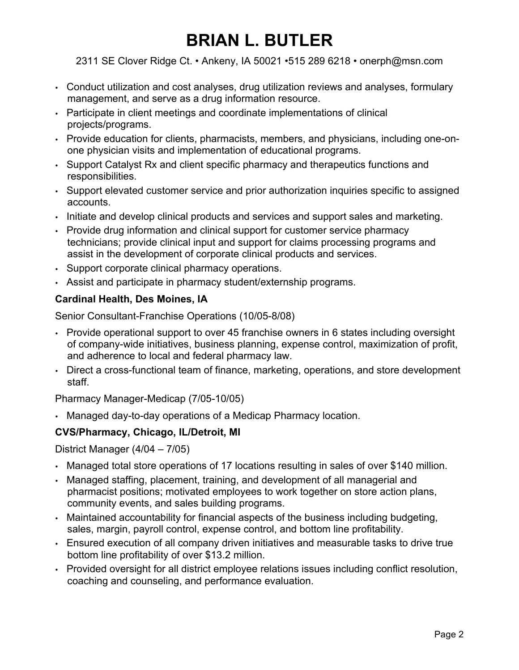# **BRIAN L. BUTLER**

2311 SE Clover Ridge Ct. • Ankeny, IA 50021 •515 289 6218 • onerph@msn.com

- Conduct utilization and cost analyses, drug utilization reviews and analyses, formulary management, and serve as a drug information resource.
- Participate in client meetings and coordinate implementations of clinical projects/programs.
- Provide education for clients, pharmacists, members, and physicians, including one-onone physician visits and implementation of educational programs.
- Support Catalyst Rx and client specific pharmacy and therapeutics functions and responsibilities.
- Support elevated customer service and prior authorization inquiries specific to assigned accounts.
- Initiate and develop clinical products and services and support sales and marketing.
- Provide drug information and clinical support for customer service pharmacy technicians; provide clinical input and support for claims processing programs and assist in the development of corporate clinical products and services.
- Support corporate clinical pharmacy operations.
- Assist and participate in pharmacy student/externship programs.

## **Cardinal Health, Des Moines, IA**

Senior Consultant-Franchise Operations (10/05-8/08)

- Provide operational support to over 45 franchise owners in 6 states including oversight of company-wide initiatives, business planning, expense control, maximization of profit, and adherence to local and federal pharmacy law.
- Direct a cross-functional team of finance, marketing, operations, and store development staff.

Pharmacy Manager-Medicap (7/05-10/05)

• Managed day-to-day operations of a Medicap Pharmacy location.

### **CVS/Pharmacy, Chicago, IL/Detroit, MI**

District Manager (4/04 – 7/05)

- Managed total store operations of 17 locations resulting in sales of over \$140 million.
- Managed staffing, placement, training, and development of all managerial and pharmacist positions; motivated employees to work together on store action plans, community events, and sales building programs.
- Maintained accountability for financial aspects of the business including budgeting, sales, margin, payroll control, expense control, and bottom line profitability.
- Ensured execution of all company driven initiatives and measurable tasks to drive true bottom line profitability of over \$13.2 million.
- Provided oversight for all district employee relations issues including conflict resolution, coaching and counseling, and performance evaluation.